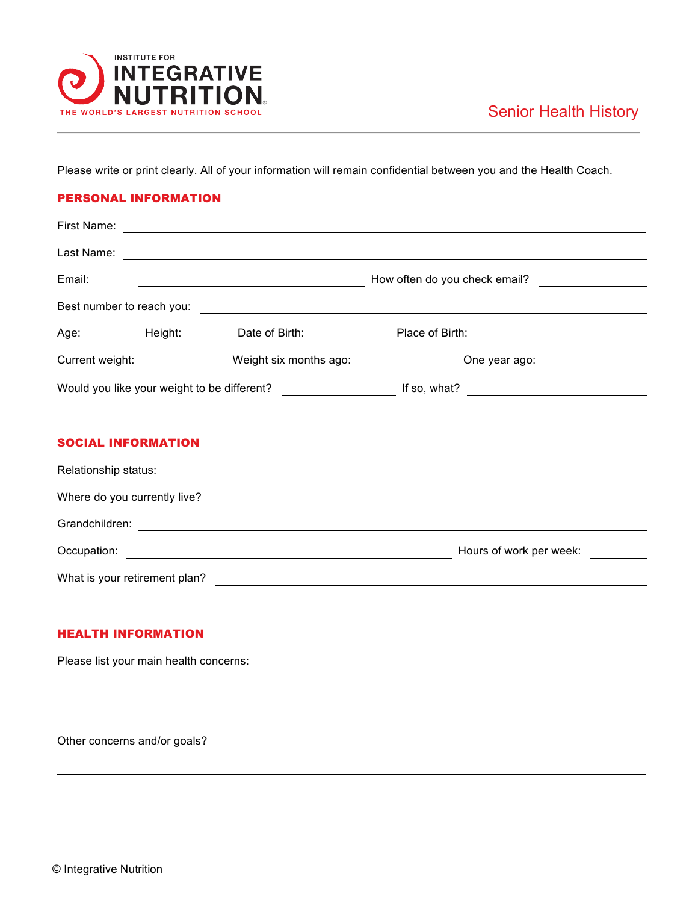

Please write or print clearly. All of your information will remain confidential between you and the Health Coach.

## PERSONAL INFORMATION

| First Name:                                 |                               |                               |  |
|---------------------------------------------|-------------------------------|-------------------------------|--|
| Last Name:                                  |                               |                               |  |
| Email:                                      |                               | How often do you check email? |  |
| Best number to reach you:                   |                               |                               |  |
| Age: Height:                                | Date of Birth: Date of Birth: | Place of Birth:               |  |
| Current weight:                             | Weight six months ago:        | One year ago:                 |  |
| Would you like your weight to be different? |                               | If so, what?                  |  |

## SOCIAL INFORMATION

| Relationship status:          |                         |  |  |  |  |
|-------------------------------|-------------------------|--|--|--|--|
| Where do you currently live?  |                         |  |  |  |  |
| Grandchildren:                |                         |  |  |  |  |
| Occupation:                   | Hours of work per week: |  |  |  |  |
| What is your retirement plan? |                         |  |  |  |  |

## HEALTH INFORMATION

Please list your main health concerns:

Other concerns and/or goals?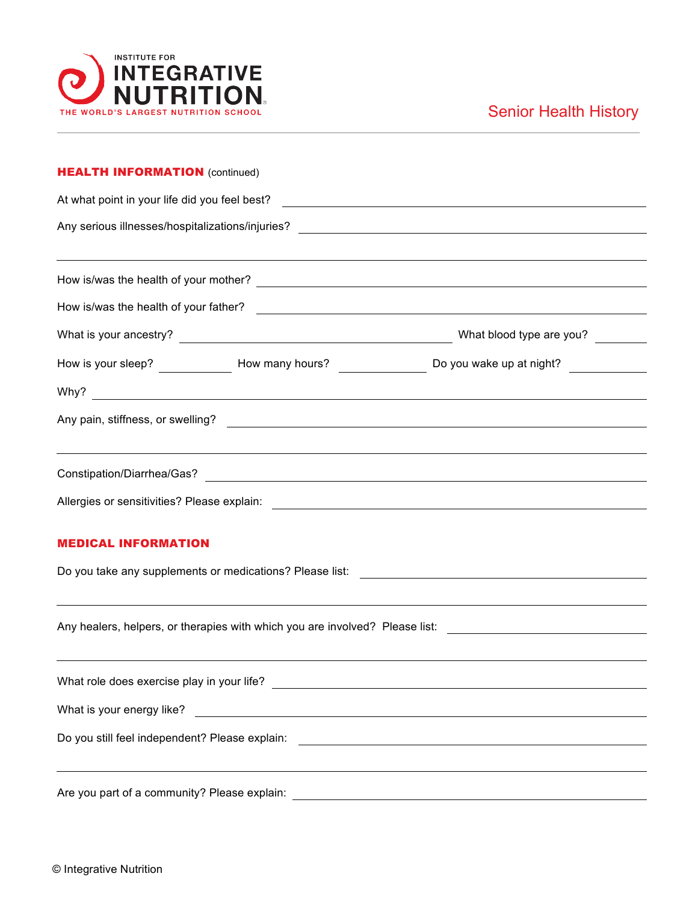

| <b>HEALTH INFORMATION (continued)</b><br>At what point in your life did you feel best?<br>Any serious illnesses/hospitalizations/injuries?<br><u> 1980 - Andrea Andrew Maria (h. 1980).</u><br>1901 - Andrew Maria (h. 1902). |                                                                                                                                                                                                                                       |                                                                                                      |  |  |  |  |                                       |  |                                                           |
|-------------------------------------------------------------------------------------------------------------------------------------------------------------------------------------------------------------------------------|---------------------------------------------------------------------------------------------------------------------------------------------------------------------------------------------------------------------------------------|------------------------------------------------------------------------------------------------------|--|--|--|--|---------------------------------------|--|-----------------------------------------------------------|
|                                                                                                                                                                                                                               |                                                                                                                                                                                                                                       |                                                                                                      |  |  |  |  |                                       |  |                                                           |
|                                                                                                                                                                                                                               |                                                                                                                                                                                                                                       |                                                                                                      |  |  |  |  | How is/was the health of your father? |  | <u> 1989 - Johann Barnett, fransk politiker (d. 1989)</u> |
|                                                                                                                                                                                                                               |                                                                                                                                                                                                                                       |                                                                                                      |  |  |  |  |                                       |  |                                                           |
|                                                                                                                                                                                                                               |                                                                                                                                                                                                                                       |                                                                                                      |  |  |  |  |                                       |  |                                                           |
|                                                                                                                                                                                                                               |                                                                                                                                                                                                                                       |                                                                                                      |  |  |  |  |                                       |  |                                                           |
|                                                                                                                                                                                                                               |                                                                                                                                                                                                                                       |                                                                                                      |  |  |  |  |                                       |  |                                                           |
|                                                                                                                                                                                                                               |                                                                                                                                                                                                                                       |                                                                                                      |  |  |  |  |                                       |  |                                                           |
|                                                                                                                                                                                                                               |                                                                                                                                                                                                                                       |                                                                                                      |  |  |  |  |                                       |  |                                                           |
|                                                                                                                                                                                                                               |                                                                                                                                                                                                                                       |                                                                                                      |  |  |  |  |                                       |  |                                                           |
| <b>MEDICAL INFORMATION</b>                                                                                                                                                                                                    |                                                                                                                                                                                                                                       |                                                                                                      |  |  |  |  |                                       |  |                                                           |
|                                                                                                                                                                                                                               |                                                                                                                                                                                                                                       |                                                                                                      |  |  |  |  |                                       |  |                                                           |
|                                                                                                                                                                                                                               |                                                                                                                                                                                                                                       |                                                                                                      |  |  |  |  |                                       |  |                                                           |
|                                                                                                                                                                                                                               |                                                                                                                                                                                                                                       | Any healers, helpers, or therapies with which you are involved? Please list: _______________________ |  |  |  |  |                                       |  |                                                           |
|                                                                                                                                                                                                                               |                                                                                                                                                                                                                                       |                                                                                                      |  |  |  |  |                                       |  |                                                           |
|                                                                                                                                                                                                                               |                                                                                                                                                                                                                                       |                                                                                                      |  |  |  |  |                                       |  |                                                           |
|                                                                                                                                                                                                                               | What is your energy like?<br><u> and</u> the contract of the contract of the contract of the contract of the contract of the contract of the contract of the contract of the contract of the contract of the contract of the contract |                                                                                                      |  |  |  |  |                                       |  |                                                           |
|                                                                                                                                                                                                                               |                                                                                                                                                                                                                                       |                                                                                                      |  |  |  |  |                                       |  |                                                           |
|                                                                                                                                                                                                                               | <u> 1989 - Johann Stein, marwolaethau a chwaraethau a chwaraethau a chwaraethau a chwaraethau a chwaraethau a ch</u>                                                                                                                  |                                                                                                      |  |  |  |  |                                       |  |                                                           |
|                                                                                                                                                                                                                               |                                                                                                                                                                                                                                       |                                                                                                      |  |  |  |  |                                       |  |                                                           |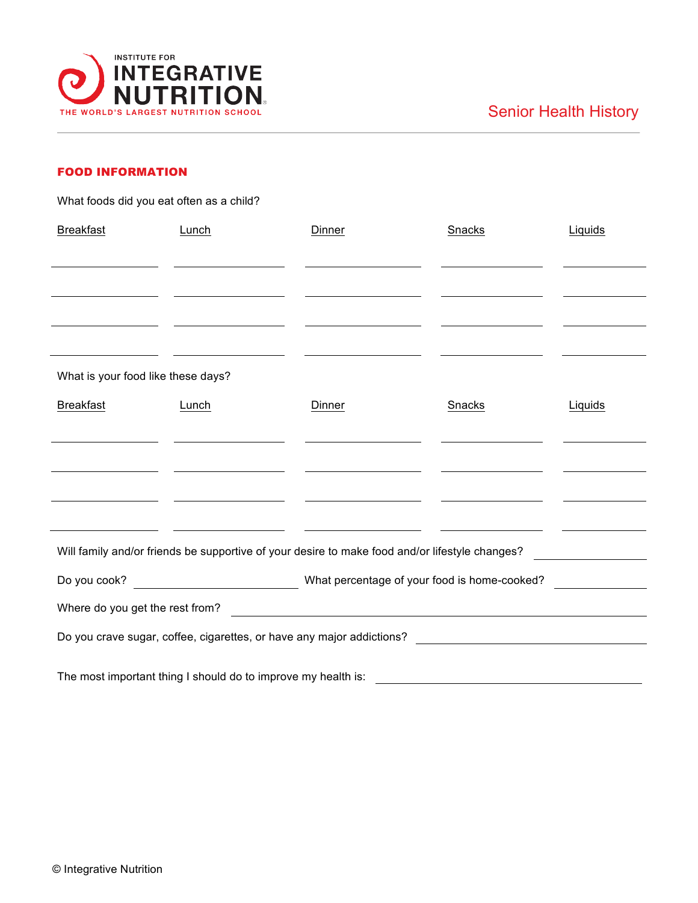

## FOOD INFORMATION

What foods did you eat often as a child?

| <b>Breakfast</b>                                                                 | Lunch                                                                                                                | Dinner                                                                                                                      | Snacks                                                                          | Liquids |  |  |  |  |
|----------------------------------------------------------------------------------|----------------------------------------------------------------------------------------------------------------------|-----------------------------------------------------------------------------------------------------------------------------|---------------------------------------------------------------------------------|---------|--|--|--|--|
|                                                                                  |                                                                                                                      |                                                                                                                             |                                                                                 |         |  |  |  |  |
|                                                                                  |                                                                                                                      |                                                                                                                             |                                                                                 |         |  |  |  |  |
| the contract of the contract of the                                              |                                                                                                                      |                                                                                                                             |                                                                                 |         |  |  |  |  |
| <u> 1989 - Johann Barbara, martin d</u>                                          |                                                                                                                      |                                                                                                                             |                                                                                 |         |  |  |  |  |
|                                                                                  |                                                                                                                      |                                                                                                                             |                                                                                 |         |  |  |  |  |
| What is your food like these days?                                               |                                                                                                                      |                                                                                                                             |                                                                                 |         |  |  |  |  |
| <b>Breakfast</b>                                                                 | Lunch                                                                                                                | Dinner                                                                                                                      | Snacks                                                                          | Liquids |  |  |  |  |
|                                                                                  |                                                                                                                      |                                                                                                                             |                                                                                 |         |  |  |  |  |
|                                                                                  |                                                                                                                      |                                                                                                                             |                                                                                 |         |  |  |  |  |
|                                                                                  | <u> Alexandria de la contrada de la contrada de la contrada de la contrada de la contrada de la contrada de la c</u> |                                                                                                                             |                                                                                 |         |  |  |  |  |
|                                                                                  | <u> 1989 - Andrea Barbara, Amerikaansk politiker (d. 1989)</u>                                                       | <u> Alexander (Alexander Alexander Alexander Alexander Alexander Alexander Alexander Alexander Alexander Alexander Alex</u> | the contract of the contract of the contract of the contract of the contract of |         |  |  |  |  |
|                                                                                  |                                                                                                                      |                                                                                                                             |                                                                                 |         |  |  |  |  |
|                                                                                  |                                                                                                                      | Will family and/or friends be supportive of your desire to make food and/or lifestyle changes?                              |                                                                                 |         |  |  |  |  |
|                                                                                  |                                                                                                                      |                                                                                                                             |                                                                                 |         |  |  |  |  |
| Where do you get the rest from?<br><u> 1980 - Andrea Andrew Maria (h. 1980).</u> |                                                                                                                      |                                                                                                                             |                                                                                 |         |  |  |  |  |
|                                                                                  |                                                                                                                      |                                                                                                                             |                                                                                 |         |  |  |  |  |
| The most important thing I should do to improve my health is:                    |                                                                                                                      |                                                                                                                             |                                                                                 |         |  |  |  |  |